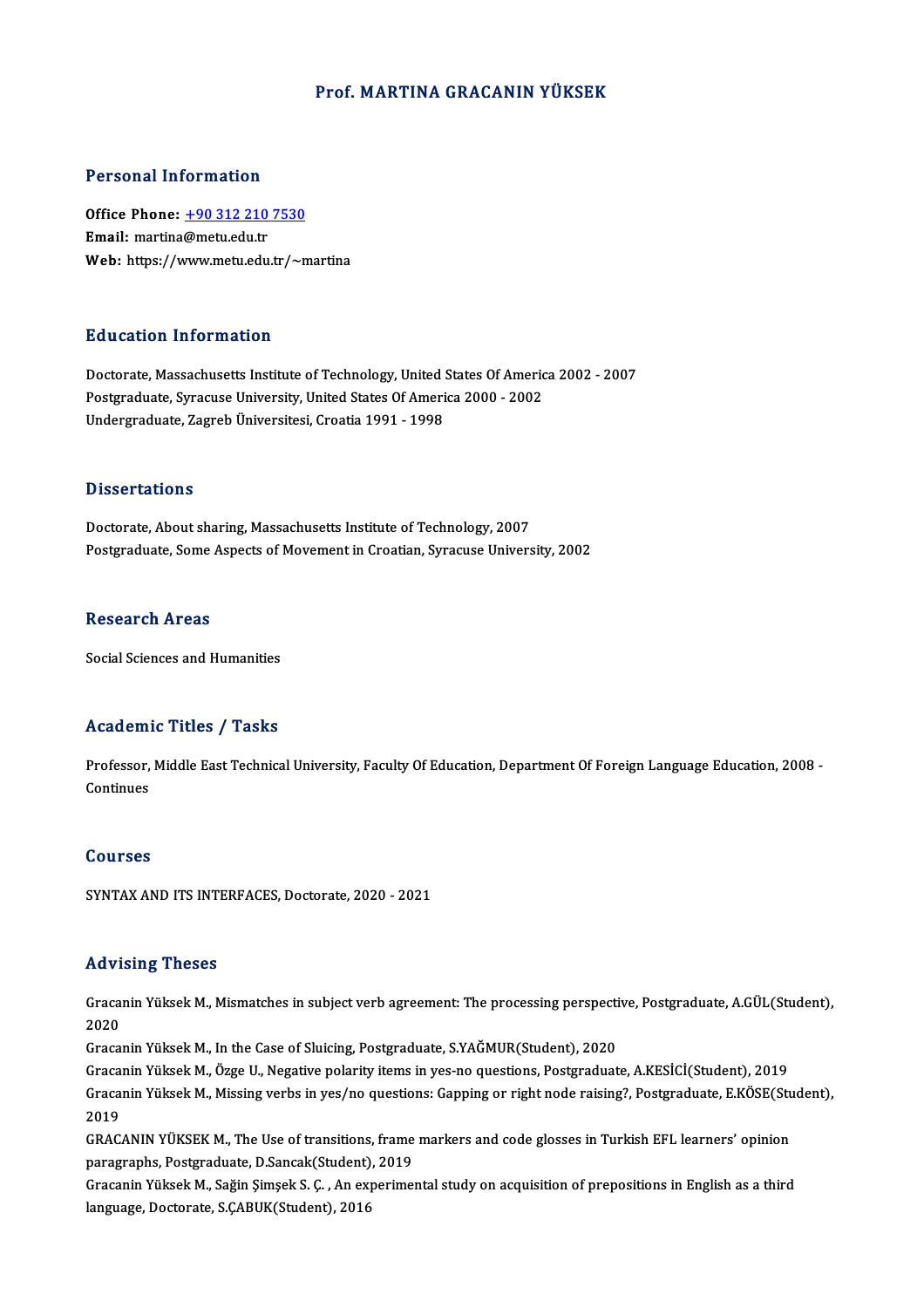## Prof.MARTINA GRACANIN YÜKSEK

## Personal Information

Personal Information<br>Office Phone: <u>+90 312 210 7530</u><br>Email: martina@matu.edu.tr office Phone: <u>+90 312 210</u><br>Email: martina@metu.edu.tr<br>Web: https://www.metu.edu.tr **Email:** martina@metu.edu.tr<br>Web: https://[www.metu.edu.tr/~m](tel:+90 312 210 7530)artina

# Education Information

Doctorate, Massachusetts Institute of Technology, United States Of America 2002 - 2007 Put Catton Thromateuon<br>Doctorate, Massachusetts Institute of Technology, United States Of Americ<br>Postgraduate, Syracuse University, United States Of America 2000 - 2002<br>Undergraduate Zagreb Üniversitesi Creatia 1991, 1999 Doctorate, Massachusetts Institute of Technology, United !<br>Postgraduate, Syracuse University, United States Of Ameri<br>Undergraduate, Zagreb Üniversitesi, Croatia 1991 - 1998 Undergraduate, Zagreb Üniversitesi, Croatia 1991 - 1998<br>Dissertations

Doctorate, About sharing, Massachusetts Institute of Technology, 2007 Postgraduate, Some Aspects of Movement in Croatian, Syracuse University, 2002

## **Research Areas**

Social Sciences and Humanities

# Academic Titles / Tasks

Academic Titles / Tasks<br>Professor, Middle East Technical University, Faculty Of Education, Department Of Foreign Language Education, 2008 -<br>Continues Professor,<br>Continues Continues<br>Courses

SYNTAXANDITS INTERFACES,Doctorate,2020 -2021

# Advising Theses

Advising Theses<br>Gracanin Yüksek M., Mismatches in subject verb agreement: The processing perspective, Postgraduate, A.GÜL(Student),<br>2020 2020

2020<br>Gracanin Yüksek M., In the Case of Sluicing, Postgraduate, S.YAĞMUR(Student), 2020

GracaninYüksekM.,ÖzgeU.,Negative polarity items inyes-no questions,Postgraduate,A.KESİCİ(Student),2019 Gracanin Yüksek M., In the Case of Sluicing, Postgraduate, S.YAĞMUR(Student), 2020<br>Gracanin Yüksek M., Özge U., Negative polarity items in yes-no questions, Postgraduate, A.KESİCİ(Student), 2019<br>Gracanin Yüksek M., Missing Graca:<br>Graca:<br>2019<br>CRAC Gracanin Yüksek M., Missing verbs in yes/no questions: Gapping or right node raising?, Postgraduate, E.KÖSE(Stu<br>2019<br>GRACANIN YÜKSEK M., The Use of transitions, frame markers and code glosses in Turkish EFL learners' opini

2019<br>GRACANIN YÜKSEK M., The Use of transitions, frame<br>paragraphs, Postgraduate, D.Sancak(Student), 2019<br>Crasanin Vülvek M. Sağin Simsek S. G. An synerime GRACANIN YÜKSEK M., The Use of transitions, frame markers and code glosses in Turkish EFL learners' opinion<br>paragraphs, Postgraduate, D.Sancak(Student), 2019<br>Gracanin Yüksek M., Sağin Şimşek S. Ç. , An experimental study o

paragraphs, Postgraduate, D.Sancak(Student), 2019<br>Gracanin Yüksek M., Sağin Şimşek S. Ç. , An experimental study on acquisition of prepositions in English as a third<br>language, Doctorate, S.ÇABUK(Student), 2016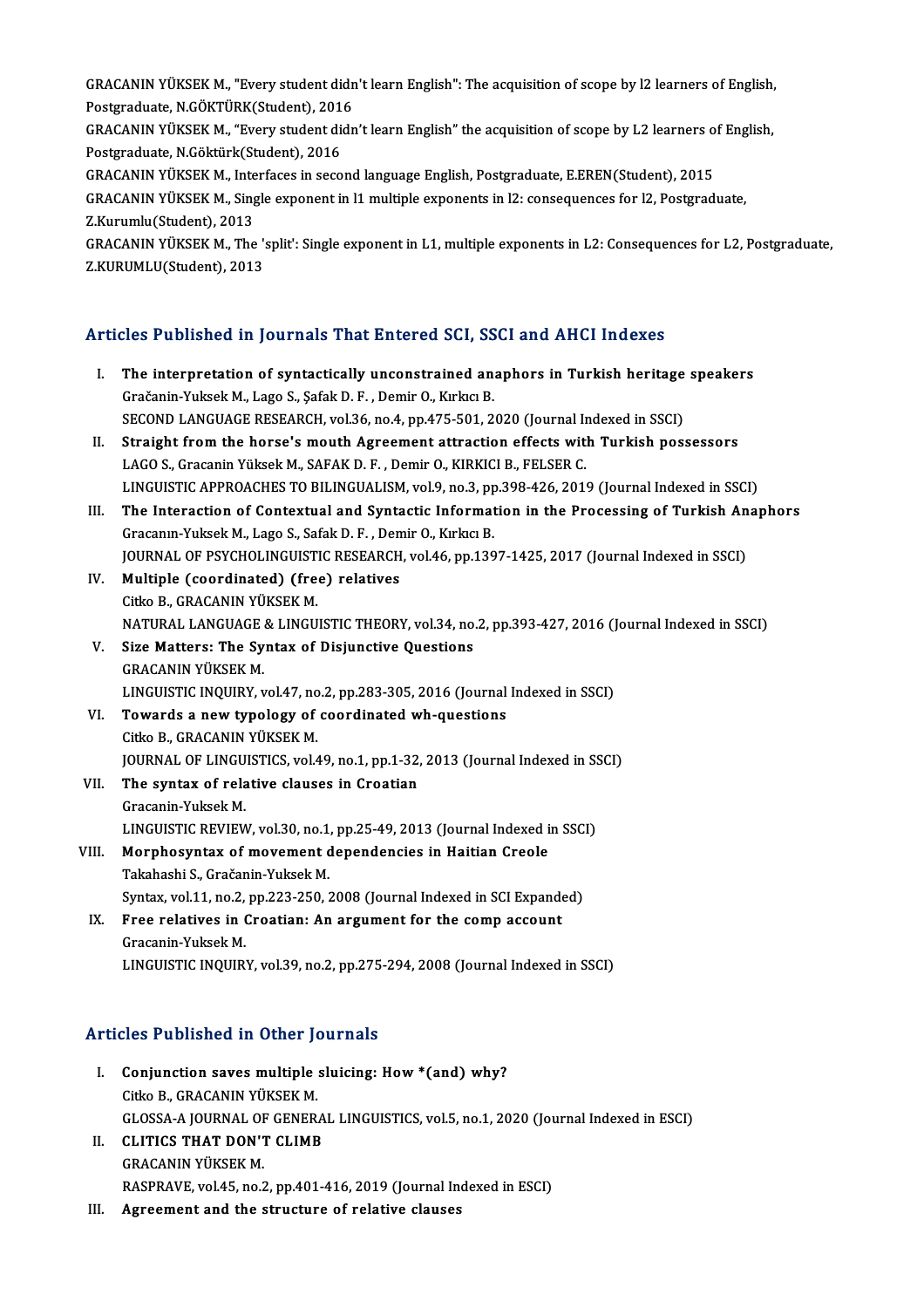GRACANIN YÜKSEK M., "Every student didn't learn English": The acquisition of scope by l2 learners of English,<br>Pestanaduate N.CÖKTÜRKStydent), 2016 GRACANIN YÜKSEK M., "Every student didn<br>Postgraduate, N.GÖKTÜRK(Student), 2016<br>CRACANIN YÜKSEK M. "Every student didn GRACANIN YÜKSEK M., "Every student didn't learn English": The acquisition of scope by l2 learners of English,<br>Postgraduate, N.GÖKTÜRK(Student), 2016<br>GRACANIN YÜKSEK M., "Every student didn't learn English" the acquisition

Postgraduate, N.GÖKTÜRK(Student), 2016<br>GRACANIN YÜKSEK M., "Every student didr<br>Postgraduate, N.Göktürk(Student), 2016 GRACANIN YÜKSEK M., "Every student didn't learn English" the acquisition of scope by L2 learners of English,

GRACANIN YÜKSEK M., Interfaces in second language English, Postgraduate, E.EREN(Student), 2015

GRACANIN YÜKSEK M., Single exponent in l1 multiple exponents in l2: consequences for l2, Postgraduate, Z.Kurumlu(Student), 2013 GRACANIN YÜKSEK M., Single exponent in 11 multiple exponents in l2: consequences for l2, Postgraduate,<br>Z.Kurumlu(Student), 2013<br>GRACANIN YÜKSEK M., The 'split': Single exponent in L1, multiple exponents in L2: Consequences

Z.Kurumlu(Student), 2013<br>GRACANIN YÜKSEK M., The ':<br>Z.KURUMLU(Student), 2013

# 2.K0K0ML0(sudent), 2013<br>Articles Published in Journals That Entered SCI, SSCI and AHCI Indexes

- rticles Published in Journals That Entered SCI, SSCI and AHCI Indexes<br>I. The interpretation of syntactically unconstrained anaphors in Turkish heritage speakers<br>Crečenin Yultsel: M. Lege S. Sefek D. E. Demin O. Kultse P. I. The interpretation of syntactically unconstrained anaphors in Turkish heritage speakers<br>Gračanin-Yuksek M., Lago S., Şafak D. F., Demir O., Kırkıcı B. SECOND LANGUAGE RESEARCH, vol.36, no.4, pp.475-501, 2020 (Journal Indexed in SSCI) II. Straight from the horse's mouth Agreement attraction effects with Turkish possessors LAGO S., Gracanin Yüksek M., SAFAK D. F., Demir O., KIRKICI B., FELSER C. Straight from the horse's mouth Agreement attraction effects with Turkish possessors<br>LAGO S., Gracanin Yüksek M., SAFAK D. F. , Demir O., KIRKICI B., FELSER C.<br>LINGUISTIC APPROACHES TO BILINGUALISM, vol.9, no.3, pp.398-426 LAGO S., Gracanin Yüksek M., SAFAK D. F. , Demir O., KIRKICI B., FELSER C.<br>LINGUISTIC APPROACHES TO BILINGUALISM, vol.9, no.3, pp.398-426, 2019 (Journal Indexed in SSCI)<br>III. The Interaction of Contextual and Syntactic Inf LINGUISTIC APPROACHES TO BILINGUALISM, vol.9, no.3, pp<br>The Interaction of Contextual and Syntactic Informat<br>Gracanın-Yuksek M., Lago S., Safak D. F. , Demir O., Kırkıcı B.<br>JOUPMAL OE BSYCHOLINGUISTIC BESEARCH vol.46, nn.13 The Interaction of Contextual and Syntactic Information in the Processing of Turkish An<br>Gracanın-Yuksek M., Lago S., Safak D. F. , Demir O., Kırkıcı B.<br>JOURNAL OF PSYCHOLINGUISTIC RESEARCH, vol.46, pp.1397-1425, 2017 (Jour Gracanın-Yuksek M., Lago S., Safak D. F. , Den<br>JOURNAL OF PSYCHOLINGUISTIC RESEARCH<br>IV. Multiple (coordinated) (free) relatives<br>Citics B. CBACANIN VÜKSEK M **JOURNAL OF PSYCHOLINGUIST<br>Multiple (coordinated) (fre**<br>Citko B., GRACANIN YÜKSEK M.<br>NATUPAL LANCUACE & LINCU Multiple (coordinated) (free) relatives<br>Citko B., GRACANIN YÜKSEK M.<br>NATURAL LANGUAGE & LINGUISTIC THEORY, vol.34, no.2, pp.393-427, 2016 (Journal Indexed in SSCI)<br>Sire Metters: The Suntay of Disjungtive Questions Citko B., GRACANIN YÜKSEK M.<br>NATURAL LANGUAGE & LINGUISTIC THEORY, vol.34, no.<br>V. Size Matters: The Syntax of Disjunctive Questions<br>CRACANIN VÜKSEK M NATURAL LANGUAGE<br>Size Matters: The Sy<br>GRACANIN YÜKSEK M.<br>LINGUISTIC INQUIPY V. Size Matters: The Syntax of Disjunctive Questions<br>GRACANIN YÜKSEK M.<br>LINGUISTIC INQUIRY, vol.47, no.2, pp.283-305, 2016 (Journal Indexed in SSCI) GRACANIN YÜKSEK M.<br>LINGUISTIC INQUIRY, vol.47, no.2, pp.283-305, 2016 (Journal<br>VI. Towards a new typology of coordinated wh-questions<br>Citical CRACANIN VÜKSEK M LINGUISTIC INQUIRY, vol.47, no<br>Towards a new typology of<br>Citko B., GRACANIN YÜKSEK M.<br>JOUPNAL OF LINGUISTICS vol.4 Towards a new typology of coordinated wh-questions<br>Citko B., GRACANIN YÜKSEK M.<br>JOURNAL OF LINGUISTICS, vol.49, no.1, pp.1-32, 2013 (Journal Indexed in SSCI)<br>The suntay of relative alayees in Croation Citko B., GRACANIN YÜKSEK M.<br>JOURNAL OF LINGUISTICS, vol.49, no.1, pp.1-32<br>VII. The syntax of relative clauses in Croatian<br>Gracanin-Yuksek M. **JOURNAL OF LINGU<br>The syntax of rela<br>Gracanin-Yuksek M.**<br>LINGUISTIC BEVIEW LINGUISTIC REVIEW, vol.30, no.1, pp.25-49, 2013 (Journal Indexed in SSCI) Gracanin-Yuksek M.<br>LINGUISTIC REVIEW, vol.30, no.1, pp.25-49, 2013 (Journal Indexed in<br>VIII. Morphosyntax of movement dependencies in Haitian Creole<br>Takabashi S. Crešanin Yuksek M. LINGUISTIC REVIEW, vol.30, no.1<br>Morphosyntax of movement d<br>Takahashi S., Gračanin-Yuksek M.<br>Syntax vol.11, no.2, nn.222, 250, 2 Morphosyntax of movement dependencies in Haitian Creole<br>Takahashi S., Gračanin-Yuksek M.<br>Syntax, vol.11, no.2, pp.223-250, 2008 (Journal Indexed in SCI Expanded)<br>Free relatives in Creatian: An argument for the semp asseunt
	- Syntax, vol.11, no.2, pp.223-250, 2008 (Journal Indexed in SCI Expanded)
- Takahashi S., Gračanin-Yuksek M.<br>Syntax, vol.11, no.2, pp.223-250, 2008 (Journal Indexed in SCI Expandent IX. Free relatives in Croatian: An argument for the comp account Gracanin-Yuksek M. LINGUISTIC INQUIRY, vol.39, no.2, pp.275-294, 2008 (Journal Indexed in SSCI)

# Articles Published in Other Journals

- I. Conjunction saves multiple sluicing: How \*(and) why? Citko B., GRACANIN YÜKSEK M. GLOSSA-AJOURNALOFGENERAL LINGUISTICS,vol.5,no.1,2020 (Journal Indexed inESCI) Citko B., GRACANIN YÜKSEK M.<br>GLOSSA-A JOURNAL OF GENERA<br>II. CLITICS THAT DON'T CLIMB
- GLOSSA-A JOURNAL OF<br>CLITICS THAT DON'T<br>GRACANIN YÜKSEK M.<br>BASBBAVE volde pos GRACANIN YÜKSEK M.<br>RASPRAVE, vol.45, no.2, pp.401-416, 2019 (Journal Indexed in ESCI)
- III. Agreement and the structure of relative clauses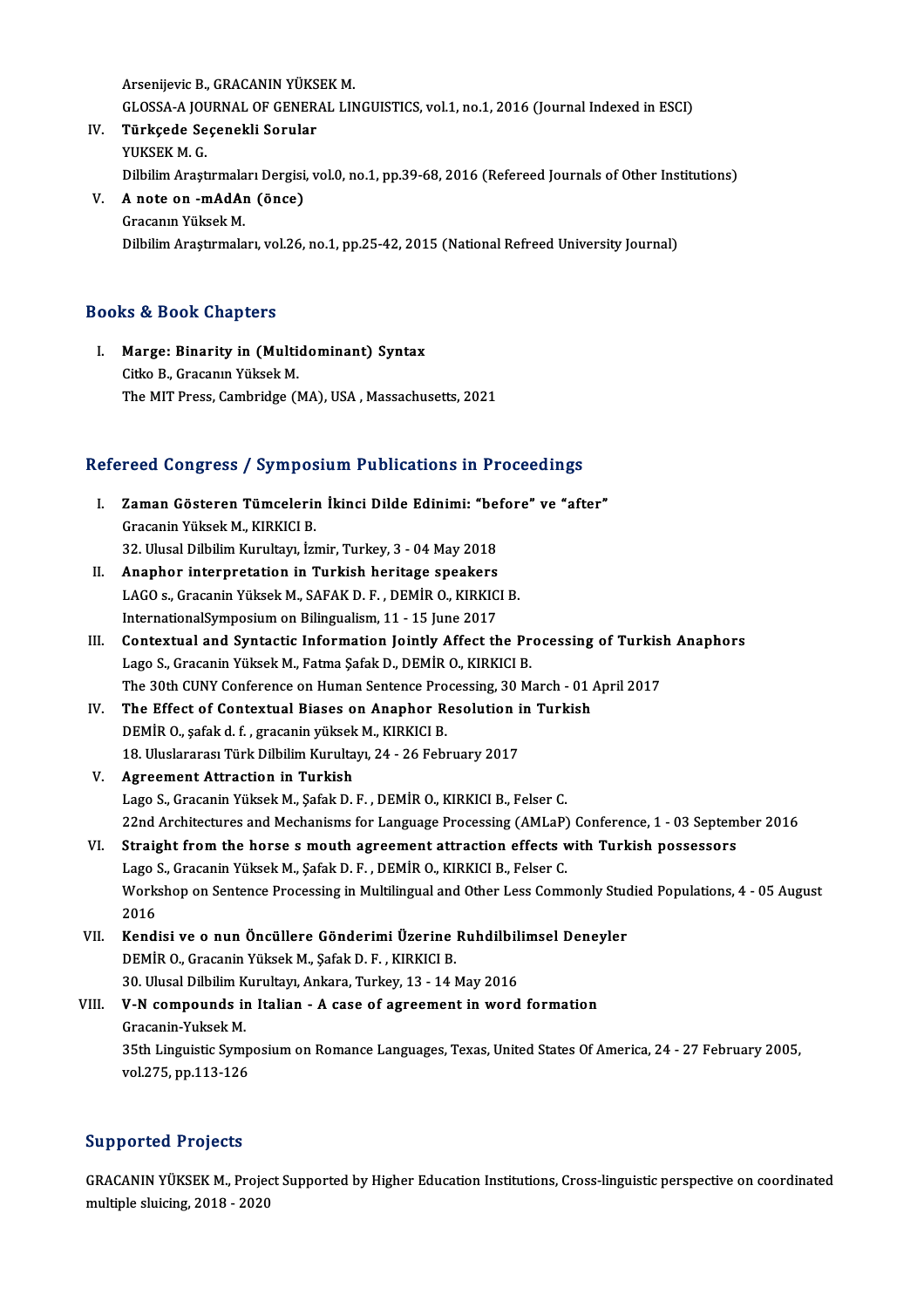ArsenijevicB.,GRACANINYÜKSEKM. Arsenijevic B., GRACANIN YÜKSEK M.<br>GLOSSA-A JOURNAL OF GENERAL LINGUISTICS, vol.1, no.1, 2016 (Journal Indexed in ESCI)<br>Türksede Sesenekli Seruler

- IV. Türkçede Seçenekli Sorular GLOSSA-A JO<mark>l</mark><br>Türkçede Se<br>YUKSEK M. G.<br>Dilbilim Areat Türkçede Seçenekli Sorular<br>YUKSEK M. G.<br>Dilbilim Araştırmaları Dergisi, vol.0, no.1, pp.39-68, 2016 (Refereed Journals of Other Institutions)<br>A note on, mAdAn (önce)
- V. A note on -mAdAn (önce) Dilbilim Araştırmala<br>A note on -mAdAı<br>Gracanın Yüksek M.<br>Dilbilim Arastırmala Dilbilim Araştırmaları, vol.26, no.1, pp.25-42, 2015 (National Refreed University Journal)

# Books&Book Chapters

ooks & Book Chapters<br>I. Marge: Binarity in (Multidominant) Syntax<br>Citice B. Cressaun Vülsek M Cityo Cityon, Grapeon<br>Marge: Binarity in (Multicitko B., Gracanın Yüksek M.<br>The MIT Press Cembridse (I Citko B., Gracanın Yüksek M.<br>The MIT Press, Cambridge (MA), USA, Massachusetts, 2021

# Ine MIT Press, Cambridge (MA), USA , Massachusetts, 2021<br>Refereed Congress / Symposium Publications in Proceedings

- efereed Congress / Symposium Publications in Proceedings<br>I. Zaman Gösteren Tümcelerin İkinci Dilde Edinimi: "before" ve "after"<br>Crasanin Vüksek M. KIPKICLP Tood Gongross 7 by mpos<br>Zaman Gösteren Tümcelerin<br>Gracanin Yüksek M., KIRKICI B.<br>22. Husel Dilbilim Kurultarı İsr Zaman Gösteren Tümcelerin İkinci Dilde Edinimi: "bet<br>Gracanin Yüksek M., KIRKICI B.<br>32. Ulusal Dilbilim Kurultayı, İzmir, Turkey, 3 - 04 May 2018<br>Anapbar interpretation in Turkish beritage speakers Gracanin Yüksek M., KIRKICI B.<br>32. Ulusal Dilbilim Kurultayı, İzmir, Turkey, 3 - 04 May 2018<br>II. Anaphor interpretation in Turkish heritage speakers
- 32. Ulusal Dilbilim Kurultayı, İzmir, Turkey, 3 04 May 2018<br>**Anaphor interpretation in Turkish heritage speakers**<br>LAGO s., Gracanin Yüksek M., SAFAK D. F. , DEMİR O., KIRKICI B.<br>InternationalSumnesium on Bilingualism 11 Anaphor interpretation in Turkish heritage speakers<br>LAGO s., Gracanin Yüksek M., SAFAK D. F. , DEMİR O., KIRKIC<br>InternationalSymposium on Bilingualism, 11 - 15 June 2017<br>Contextual and Syntestic Information Jointly Affost
- LAGO s., Gracanin Yüksek M., SAFAK D. F., DEMİR O., KIRKICI B.<br>InternationalSymposium on Bilingualism, 11 15 June 2017<br>III. Contextual and Syntactic Information Jointly Affect the Processing of Turkish Anaphors<br>Lage S. C InternationalSymposium on Bilingualism, 11 - 15 June 2017<br>Contextual and Syntactic Information Jointly Affect the Pr<br>Lago S., Gracanin Yüksek M., Fatma Şafak D., DEMİR O., KIRKICI B.<br>The 20th CUNY Conference on Human Septe Contextual and Syntactic Information Jointly Affect the Processing of Turkis!<br>Lago S., Gracanin Yüksek M., Fatma Şafak D., DEMİR O., KIRKICI B.<br>The 30th CUNY Conference on Human Sentence Processing, 30 March - 01 April 201 Lago S., Gracanin Yüksek M., Fatma Şafak D., DEMİR O., KIRKICI B.<br>The 30th CUNY Conference on Human Sentence Processing, 30 March - 01<br>IV. The Effect of Contextual Biases on Anaphor Resolution in Turkish<br>DEMİR O. safak d.
- The 30th CUNY Conference on Human Sentence Pro<br>The Effect of Contextual Biases on Anaphor R<br>DEMIR O., şafak d. f. , gracanin yüksek M., KIRKICI B.<br>18 Ulyelararea: Türk Dilbilim Kumultayı 24 26 Eabi The Effect of Contextual Biases on Anaphor Resolution i<br>DEMİR O., şafak d. f. , gracanin yüksek M., KIRKICI B.<br>18. Uluslararası Türk Dilbilim Kurultayı, 24 - 26 February 2017<br>Agreement Attrestien in Turkieb. DEMİR O., şafak d. f. , gracanin yüksek<br>18. Uluslararası Türk Dilbilim Kurulta<br>V. – Agreement Attraction in Turkish<br>Lage S. Gracanin Yüksek M. Safak D.
- V. Agreement Attraction in Turkish<br>Lago S., Gracanin Yüksek M., Şafak D. F. , DEMİR O., KIRKICI B., Felser C. Agreement Attraction in Turkish<br>Lago S., Gracanin Yüksek M., Şafak D. F. , DEMİR O., KIRKICI B., Felser C.<br>22nd Architectures and Mechanisms for Language Processing (AMLaP) Conference, 1 - 03 September 2016<br>Straight from t Lago S., Gracanin Yüksek M., Şafak D. F., DEMİR O., KIRKICI B., Felser C.<br>22nd Architectures and Mechanisms for Language Processing (AMLaP) Conference, 1 - 03 Septem<br>VI. Straight from the horse s mouth agreement attraction
- 22nd Architectures and Mechanisms for Language Processing (AMLaP)<br>Straight from the horse s mouth agreement attraction effects v<br>Lago S., Gracanin Yüksek M., Şafak D. F. , DEMİR O., KIRKICI B., Felser C.<br>Werkeben en Santan Straight from the horse s mouth agreement attraction effects with Turkish possessors<br>Lago S., Gracanin Yüksek M., Şafak D. F. , DEMİR O., KIRKICI B., Felser C.<br>Workshop on Sentence Processing in Multilingual and Other Less Lago<br>Works<br>2016<br>Kondi Workshop on Sentence Processing in Multilingual and Other Less Commonly Stude<br>2016<br>VII. Kendisi ve o nun Öncüllere Gönderimi Üzerine Ruhdilbilimsel Deneyler<br>DEMİR O Crasanin Vülsel: A Safak D E KIRKICI B
- 2016<br>Kendisi ve o nun Öncüllere Gönderimi Üzerine :<br>DEMİR O., Gracanin Yüksek M., Şafak D. F. , KIRKICI B.<br>20 Ulusel Dilbilim Kurultarı, Ankara Turkey 12 , 14 M Kendisi ve o nun Öncüllere Gönderimi Üzerine Ruhdilbil<br>DEMİR O., Gracanin Yüksek M., Şafak D. F. , KIRKICI B.<br>30. Ulusal Dilbilim Kurultayı, Ankara, Turkey, 13 - 14 May 2016<br>V. N. samnaunda in Italian...................... DEMİR O., Gracanin Yüksek M., Şafak D. F. , KIRKICI B.<br>30. Ulusal Dilbilim Kurultayı, Ankara, Turkey, 13 - 14 May 2016<br>VIII. V-N compounds in Italian - A case of agreement in word formation 30. Ulusal Dilbilim Kurultayı, Ankara, Turkey, 13 - 14 May 2016

35th Linguistic Symposium on Romance Languages, Texas, United States Of America, 24 - 27 February 2005, vol.275, pp.113-126 Gracanin-Yuksek M

# Supported Projects

Supported Projects<br>GRACANIN YÜKSEK M., Project Supported by Higher Education Institutions, Cross-linguistic perspective on coordinated<br>multiple cluising, 2018, 2020 Supporton 1195002<br>GRACANIN YÜKSEK M., Projec<br>multiple sluicing, 2018 - 2020